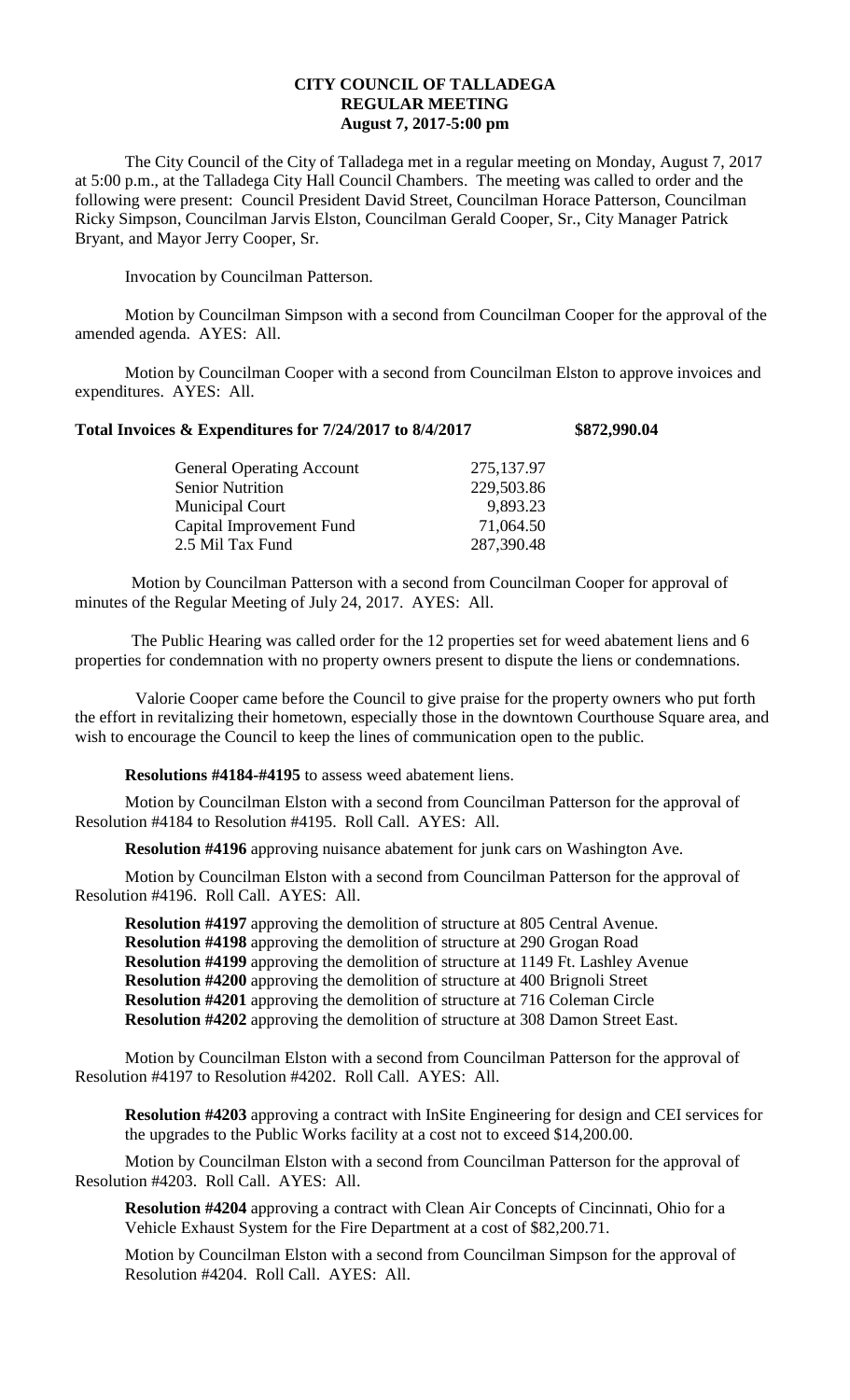## **CITY COUNCIL OF TALLADEGA REGULAR MEETING August 7, 2017-5:00 pm**

The City Council of the City of Talladega met in a regular meeting on Monday, August 7, 2017 at 5:00 p.m., at the Talladega City Hall Council Chambers. The meeting was called to order and the following were present: Council President David Street, Councilman Horace Patterson, Councilman Ricky Simpson, Councilman Jarvis Elston, Councilman Gerald Cooper, Sr., City Manager Patrick Bryant, and Mayor Jerry Cooper, Sr.

Invocation by Councilman Patterson.

Motion by Councilman Simpson with a second from Councilman Cooper for the approval of the amended agenda. AYES: All.

Motion by Councilman Cooper with a second from Councilman Elston to approve invoices and expenditures. AYES: All.

## **Total Invoices & Expenditures for 7/24/2017 to 8/4/2017 \$872,990.04**

| <b>General Operating Account</b> | 275,137.97 |
|----------------------------------|------------|
| <b>Senior Nutrition</b>          | 229,503.86 |
| <b>Municipal Court</b>           | 9,893.23   |
| Capital Improvement Fund         | 71,064.50  |
| 2.5 Mil Tax Fund                 | 287,390.48 |

Motion by Councilman Patterson with a second from Councilman Cooper for approval of minutes of the Regular Meeting of July 24, 2017. AYES: All.

The Public Hearing was called order for the 12 properties set for weed abatement liens and 6 properties for condemnation with no property owners present to dispute the liens or condemnations.

Valorie Cooper came before the Council to give praise for the property owners who put forth the effort in revitalizing their hometown, especially those in the downtown Courthouse Square area, and wish to encourage the Council to keep the lines of communication open to the public.

**Resolutions #4184-#4195** to assess weed abatement liens.

Motion by Councilman Elston with a second from Councilman Patterson for the approval of Resolution #4184 to Resolution #4195. Roll Call. AYES: All.

**Resolution #4196** approving nuisance abatement for junk cars on Washington Ave.

Motion by Councilman Elston with a second from Councilman Patterson for the approval of Resolution #4196. Roll Call. AYES: All.

**Resolution #4197** approving the demolition of structure at 805 Central Avenue. **Resolution #4198** approving the demolition of structure at 290 Grogan Road **Resolution #4199** approving the demolition of structure at 1149 Ft. Lashley Avenue **Resolution #4200** approving the demolition of structure at 400 Brignoli Street **Resolution #4201** approving the demolition of structure at 716 Coleman Circle **Resolution #4202** approving the demolition of structure at 308 Damon Street East.

Motion by Councilman Elston with a second from Councilman Patterson for the approval of Resolution #4197 to Resolution #4202. Roll Call. AYES: All.

**Resolution #4203** approving a contract with InSite Engineering for design and CEI services for the upgrades to the Public Works facility at a cost not to exceed \$14,200.00.

Motion by Councilman Elston with a second from Councilman Patterson for the approval of Resolution #4203. Roll Call. AYES: All.

**Resolution #4204** approving a contract with Clean Air Concepts of Cincinnati, Ohio for a Vehicle Exhaust System for the Fire Department at a cost of \$82,200.71.

Motion by Councilman Elston with a second from Councilman Simpson for the approval of Resolution #4204. Roll Call. AYES: All.